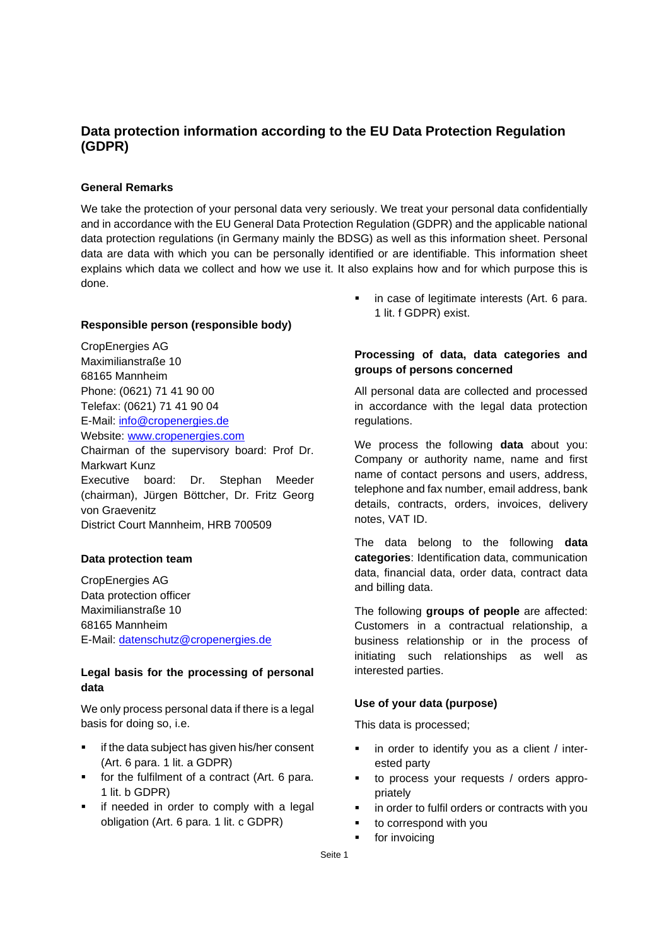# **Data protection information according to the EU Data Protection Regulation (GDPR)**

# **General Remarks**

We take the protection of your personal data very seriously. We treat your personal data confidentially and in accordance with the EU General Data Protection Regulation (GDPR) and the applicable national data protection regulations (in Germany mainly the BDSG) as well as this information sheet. Personal data are data with which you can be personally identified or are identifiable. This information sheet explains which data we collect and how we use it. It also explains how and for which purpose this is done.

### **Responsible person (responsible body)**

CropEnergies AG Maximilianstraße 10 68165 Mannheim Phone: (0621) 71 41 90 00 Telefax: (0621) 71 41 90 04 E-Mail: info@cropenergies.de Website: www.cropenergies.com

Chairman of the supervisory board: Prof Dr. Markwart Kunz Executive board: Dr. Stephan Meeder (chairman), Jürgen Böttcher, Dr. Fritz Georg von Graevenitz District Court Mannheim, HRB 700509

### **Data protection team**

CropEnergies AG Data protection officer Maximilianstraße 10 68165 Mannheim E-Mail: [datenschutz@cropenergies.de](mailto:datenschutz@cropenergies.de)

# **Legal basis for the processing of personal data**

We only process personal data if there is a legal basis for doing so, i.e.

- if the data subject has given his/her consent (Art. 6 para. 1 lit. a GDPR)
- for the fulfilment of a contract (Art. 6 para. 1 lit. b GDPR)
- if needed in order to comply with a legal obligation (Art. 6 para. 1 lit. c GDPR)

■ in case of legitimate interests (Art. 6 para. 1 lit. f GDPR) exist.

# **Processing of data, data categories and groups of persons concerned**

All personal data are collected and processed in accordance with the legal data protection regulations.

We process the following **data** about you: Company or authority name, name and first name of contact persons and users, address, telephone and fax number, email address, bank details, contracts, orders, invoices, delivery notes, VAT ID.

The data belong to the following **data categories**: Identification data, communication data, financial data, order data, contract data and billing data.

The following **groups of people** are affected: Customers in a contractual relationship, a business relationship or in the process of initiating such relationships as well as interested parties.

#### **Use of your data (purpose)**

This data is processed;

- in order to identify you as a client / interested party
- to process your requests / orders appropriately
- in order to fulfil orders or contracts with you
- to correspond with you
- for invoicing